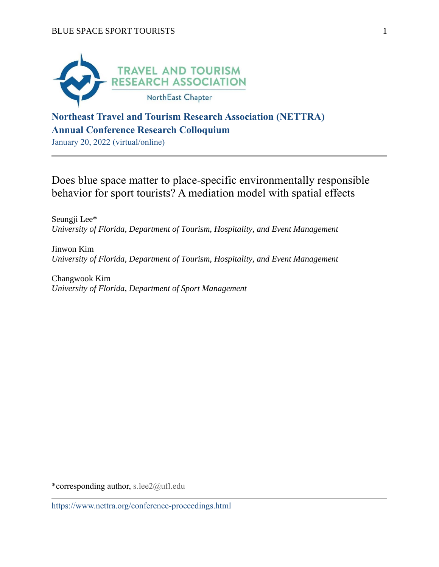

## **Northeast Travel and Tourism Research Association (NETTRA) Annual Conference Research Colloquium**

January 20, 2022 (virtual/online)

Does blue space matter to place-specific environmentally responsible behavior for sport tourists? A mediation model with spatial effects

Seungji Lee\* *University of Florida, Department of Tourism, Hospitality, and Event Management*

Jinwon Kim *University of Florida, Department of Tourism, Hospitality, and Event Management*

Changwook Kim *University of Florida, Department of Sport Management*

\*corresponding author, s.lee2@ufl.edu

https://www.nettra.org/conference-proceedings.html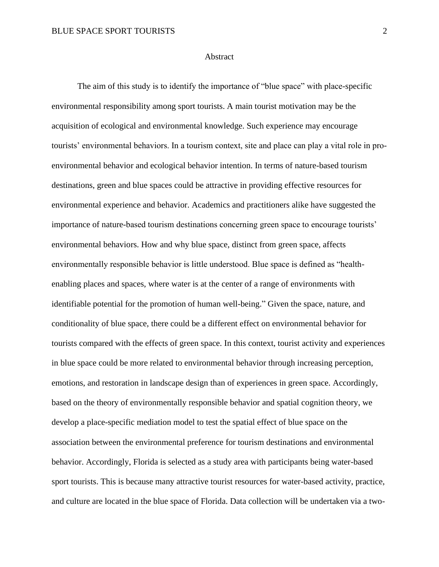## **Abstract**

The aim of this study is to identify the importance of "blue space" with place-specific environmental responsibility among sport tourists. A main tourist motivation may be the acquisition of ecological and environmental knowledge. Such experience may encourage tourists' environmental behaviors. In a tourism context, site and place can play a vital role in proenvironmental behavior and ecological behavior intention. In terms of nature-based tourism destinations, green and blue spaces could be attractive in providing effective resources for environmental experience and behavior. Academics and practitioners alike have suggested the importance of nature-based tourism destinations concerning green space to encourage tourists' environmental behaviors. How and why blue space, distinct from green space, affects environmentally responsible behavior is little understood. Blue space is defined as "healthenabling places and spaces, where water is at the center of a range of environments with identifiable potential for the promotion of human well-being." Given the space, nature, and conditionality of blue space, there could be a different effect on environmental behavior for tourists compared with the effects of green space. In this context, tourist activity and experiences in blue space could be more related to environmental behavior through increasing perception, emotions, and restoration in landscape design than of experiences in green space. Accordingly, based on the theory of environmentally responsible behavior and spatial cognition theory, we develop a place-specific mediation model to test the spatial effect of blue space on the association between the environmental preference for tourism destinations and environmental behavior. Accordingly, Florida is selected as a study area with participants being water-based sport tourists. This is because many attractive tourist resources for water-based activity, practice, and culture are located in the blue space of Florida. Data collection will be undertaken via a two-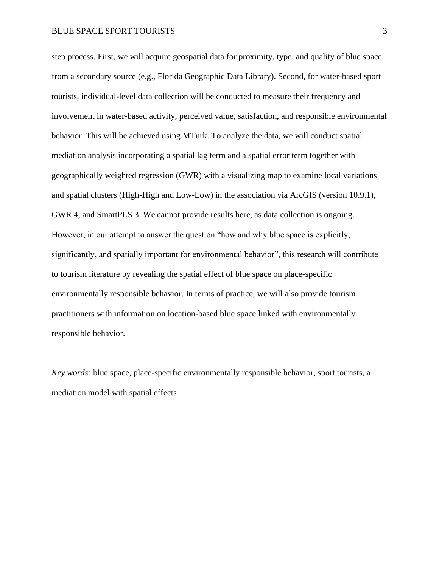## BLUE SPACE SPORT TOURISTS 3

step process. First, we will acquire geospatial data for proximity, type, and quality of blue space from a secondary source (e.g., Florida Geographic Data Library). Second, for water-based sport tourists, individual-level data collection will be conducted to measure their frequency and involvement in water-based activity, perceived value, satisfaction, and responsible environmental behavior. This will be achieved using MTurk. To analyze the data, we will conduct spatial mediation analysis incorporating a spatial lag term and a spatial error term together with geographically weighted regression (GWR) with a visualizing map to examine local variations and spatial clusters (High-High and Low-Low) in the association via ArcGIS (version 10.9.1), GWR 4, and SmartPLS 3. We cannot provide results here, as data collection is ongoing. However, in our attempt to answer the question "how and why blue space is explicitly, significantly, and spatially important for environmental behavior", this research will contribute to tourism literature by revealing the spatial effect of blue space on place-specific environmentally responsible behavior. In terms of practice, we will also provide tourism practitioners with information on location-based blue space linked with environmentally responsible behavior.

*Key words:* blue space, place-specific environmentally responsible behavior, sport tourists, a mediation model with spatial effects